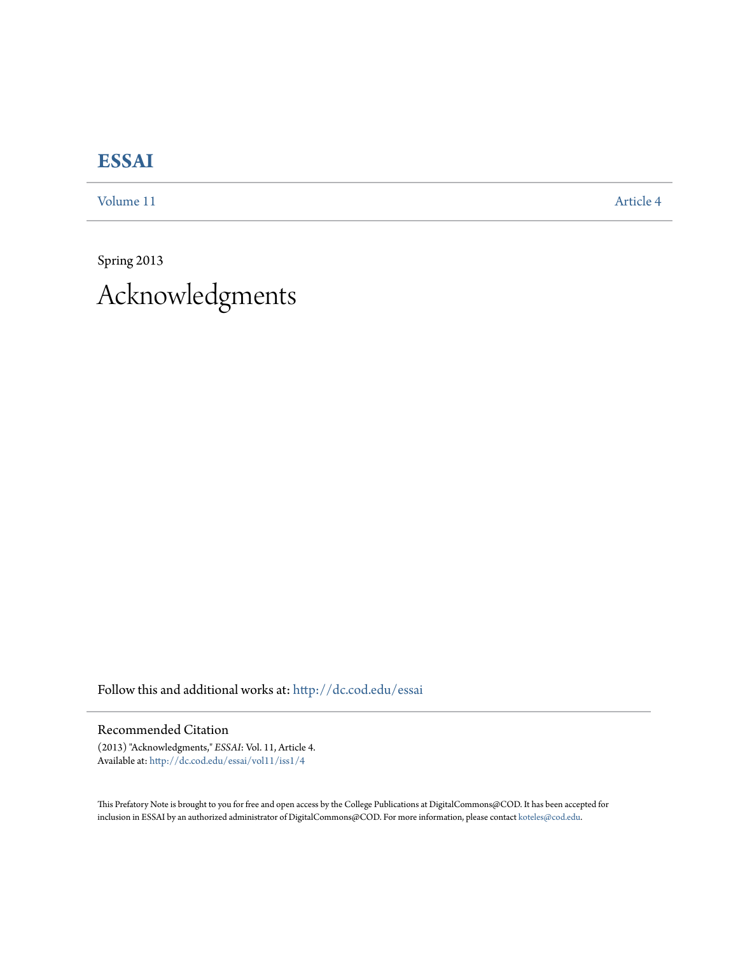## **[ESSAI](http://dc.cod.edu/essai?utm_source=dc.cod.edu%2Fessai%2Fvol11%2Fiss1%2F4&utm_medium=PDF&utm_campaign=PDFCoverPages)**

[Volume 11](http://dc.cod.edu/essai/vol11?utm_source=dc.cod.edu%2Fessai%2Fvol11%2Fiss1%2F4&utm_medium=PDF&utm_campaign=PDFCoverPages) [Article 4](http://dc.cod.edu/essai/vol11/iss1/4?utm_source=dc.cod.edu%2Fessai%2Fvol11%2Fiss1%2F4&utm_medium=PDF&utm_campaign=PDFCoverPages)

Spring 2013 Acknowledgments

Follow this and additional works at: [http://dc.cod.edu/essai](http://dc.cod.edu/essai?utm_source=dc.cod.edu%2Fessai%2Fvol11%2Fiss1%2F4&utm_medium=PDF&utm_campaign=PDFCoverPages)

Recommended Citation

(2013) "Acknowledgments," *ESSAI*: Vol. 11, Article 4. Available at: [http://dc.cod.edu/essai/vol11/iss1/4](http://dc.cod.edu/essai/vol11/iss1/4?utm_source=dc.cod.edu%2Fessai%2Fvol11%2Fiss1%2F4&utm_medium=PDF&utm_campaign=PDFCoverPages)

This Prefatory Note is brought to you for free and open access by the College Publications at DigitalCommons@COD. It has been accepted for inclusion in ESSAI by an authorized administrator of DigitalCommons@COD. For more information, please contact [koteles@cod.edu.](mailto:koteles@cod.edu)